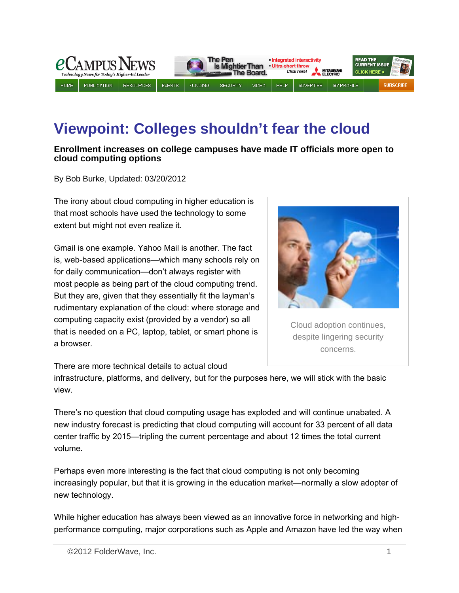

# **Viewpoint: Colleges shouldn't fear the cloud**

#### **Enrollment increases on college campuses have made IT officials more open to cloud computing options**

By Bob Burke, Updated: 03/20/2012

The irony about cloud computing in higher education is that most schools have used the technology to some extent but might not even realize it.

Gmail is one example. Yahoo Mail is another. The fact is, web-based applications—which many schools rely on for daily communication—don't always register with most people as being part of the cloud computing trend. But they are, given that they essentially fit the layman's rudimentary explanation of the cloud: where storage and computing capacity exist (provided by a vendor) so all that is needed on a PC, laptop, tablet, or smart phone is a browser.



Cloud adoption continues, despite lingering security concerns.

There are more technical details to actual cloud

infrastructure, platforms, and delivery, but for the purposes here, we will stick with the basic view.

There's no question that cloud computing usage has exploded and will continue unabated. A new industry forecast is predicting that cloud computing will account for 33 percent of all data center traffic by 2015—tripling the current percentage and about 12 times the total current volume.

Perhaps even more interesting is the fact that cloud computing is not only becoming increasingly popular, but that it is growing in the education market—normally a slow adopter of new technology.

While higher education has always been viewed as an innovative force in networking and highperformance computing, major corporations such as Apple and Amazon have led the way when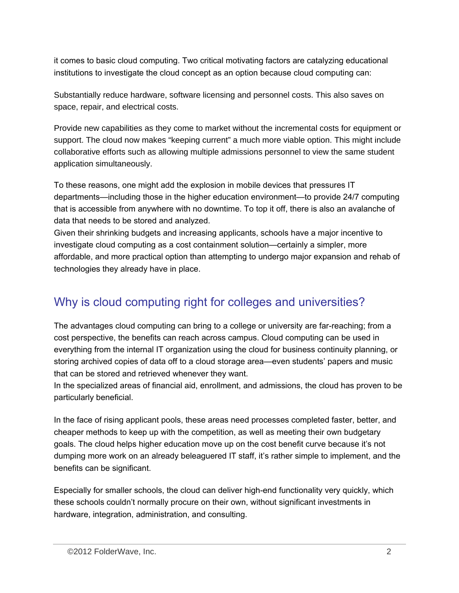it comes to basic cloud computing. Two critical motivating factors are catalyzing educational institutions to investigate the cloud concept as an option because cloud computing can:

Substantially reduce hardware, software licensing and personnel costs. This also saves on space, repair, and electrical costs.

Provide new capabilities as they come to market without the incremental costs for equipment or support. The cloud now makes "keeping current" a much more viable option. This might include collaborative efforts such as allowing multiple admissions personnel to view the same student application simultaneously.

To these reasons, one might add the explosion in mobile devices that pressures IT departments—including those in the higher education environment—to provide 24/7 computing that is accessible from anywhere with no downtime. To top it off, there is also an avalanche of data that needs to be stored and analyzed.

Given their shrinking budgets and increasing applicants, schools have a major incentive to investigate cloud computing as a cost containment solution—certainly a simpler, more affordable, and more practical option than attempting to undergo major expansion and rehab of technologies they already have in place.

## Why is cloud computing right for colleges and universities?

The advantages cloud computing can bring to a college or university are far-reaching; from a cost perspective, the benefits can reach across campus. Cloud computing can be used in everything from the internal IT organization using the cloud for business continuity planning, or storing archived copies of data off to a cloud storage area—even students' papers and music that can be stored and retrieved whenever they want.

In the specialized areas of financial aid, enrollment, and admissions, the cloud has proven to be particularly beneficial.

In the face of rising applicant pools, these areas need processes completed faster, better, and cheaper methods to keep up with the competition, as well as meeting their own budgetary goals. The cloud helps higher education move up on the cost benefit curve because it's not dumping more work on an already beleaguered IT staff, it's rather simple to implement, and the benefits can be significant.

Especially for smaller schools, the cloud can deliver high-end functionality very quickly, which these schools couldn't normally procure on their own, without significant investments in hardware, integration, administration, and consulting.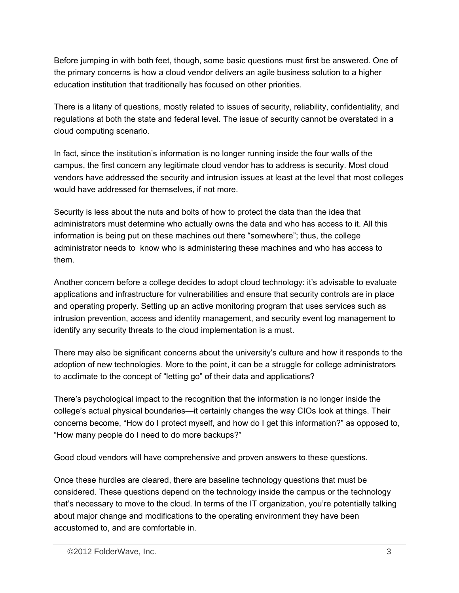Before jumping in with both feet, though, some basic questions must first be answered. One of the primary concerns is how a cloud vendor delivers an agile business solution to a higher education institution that traditionally has focused on other priorities.

There is a litany of questions, mostly related to issues of security, reliability, confidentiality, and regulations at both the state and federal level. The issue of security cannot be overstated in a cloud computing scenario.

In fact, since the institution's information is no longer running inside the four walls of the campus, the first concern any legitimate cloud vendor has to address is security. Most cloud vendors have addressed the security and intrusion issues at least at the level that most colleges would have addressed for themselves, if not more.

Security is less about the nuts and bolts of how to protect the data than the idea that administrators must determine who actually owns the data and who has access to it. All this information is being put on these machines out there "somewhere"; thus, the college administrator needs to know who is administering these machines and who has access to them.

Another concern before a college decides to adopt cloud technology: it's advisable to evaluate applications and infrastructure for vulnerabilities and ensure that security controls are in place and operating properly. Setting up an active monitoring program that uses services such as intrusion prevention, access and identity management, and security event log management to identify any security threats to the cloud implementation is a must.

There may also be significant concerns about the university's culture and how it responds to the adoption of new technologies. More to the point, it can be a struggle for college administrators to acclimate to the concept of "letting go" of their data and applications?

There's psychological impact to the recognition that the information is no longer inside the college's actual physical boundaries—it certainly changes the way CIOs look at things. Their concerns become, "How do I protect myself, and how do I get this information?" as opposed to, "How many people do I need to do more backups?"

Good cloud vendors will have comprehensive and proven answers to these questions.

Once these hurdles are cleared, there are baseline technology questions that must be considered. These questions depend on the technology inside the campus or the technology that's necessary to move to the cloud. In terms of the IT organization, you're potentially talking about major change and modifications to the operating environment they have been accustomed to, and are comfortable in.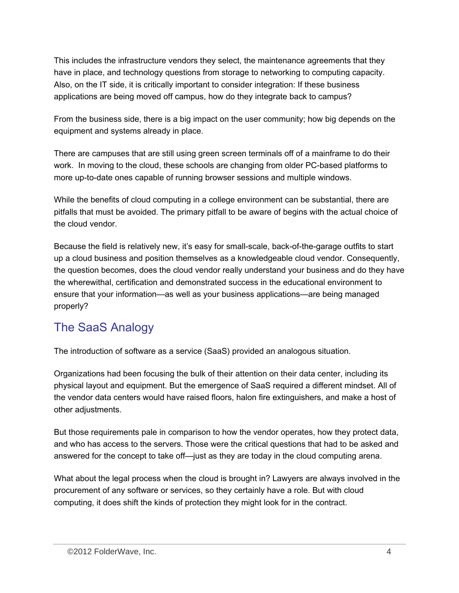This includes the infrastructure vendors they select, the maintenance agreements that they have in place, and technology questions from storage to networking to computing capacity. Also, on the IT side, it is critically important to consider integration: If these business applications are being moved off campus, how do they integrate back to campus?

From the business side, there is a big impact on the user community; how big depends on the equipment and systems already in place.

There are campuses that are still using green screen terminals off of a mainframe to do their work. In moving to the cloud, these schools are changing from older PC-based platforms to more up-to-date ones capable of running browser sessions and multiple windows.

While the benefits of cloud computing in a college environment can be substantial, there are pitfalls that must be avoided. The primary pitfall to be aware of begins with the actual choice of the cloud vendor.

Because the field is relatively new, it's easy for small-scale, back-of-the-garage outfits to start up a cloud business and position themselves as a knowledgeable cloud vendor. Consequently, the question becomes, does the cloud vendor really understand your business and do they have the wherewithal, certification and demonstrated success in the educational environment to ensure that your information—as well as your business applications—are being managed properly?

## The SaaS Analogy

The introduction of software as a service (SaaS) provided an analogous situation.

Organizations had been focusing the bulk of their attention on their data center, including its physical layout and equipment. But the emergence of SaaS required a different mindset. All of the vendor data centers would have raised floors, halon fire extinguishers, and make a host of other adjustments.

But those requirements pale in comparison to how the vendor operates, how they protect data, and who has access to the servers. Those were the critical questions that had to be asked and answered for the concept to take off—just as they are today in the cloud computing arena.

What about the legal process when the cloud is brought in? Lawyers are always involved in the procurement of any software or services, so they certainly have a role. But with cloud computing, it does shift the kinds of protection they might look for in the contract.